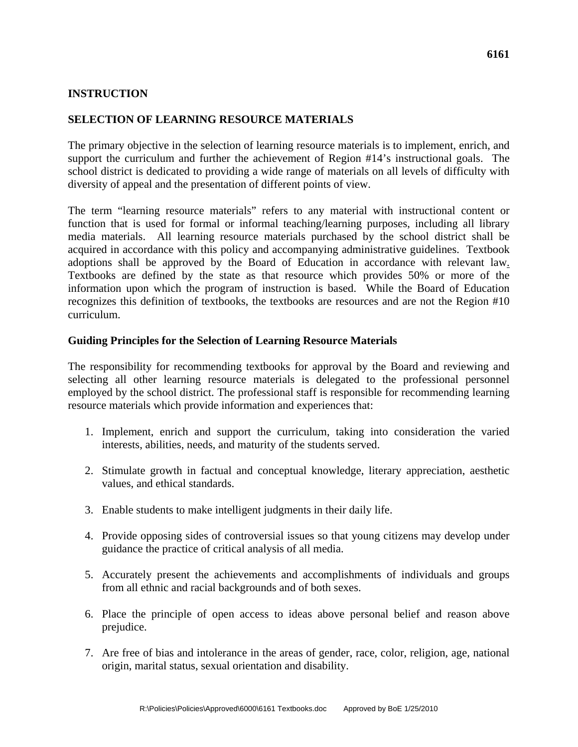# **INSTRUCTION**

### **SELECTION OF LEARNING RESOURCE MATERIALS**

The primary objective in the selection of learning resource materials is to implement, enrich, and support the curriculum and further the achievement of Region #14's instructional goals. The school district is dedicated to providing a wide range of materials on all levels of difficulty with diversity of appeal and the presentation of different points of view.

The term "learning resource materials" refers to any material with instructional content or function that is used for formal or informal teaching/learning purposes, including all library media materials. All learning resource materials purchased by the school district shall be acquired in accordance with this policy and accompanying administrative guidelines. Textbook adoptions shall be approved by the Board of Education in accordance with relevant law. Textbooks are defined by the state as that resource which provides 50% or more of the information upon which the program of instruction is based. While the Board of Education recognizes this definition of textbooks, the textbooks are resources and are not the Region #10 curriculum.

#### **Guiding Principles for the Selection of Learning Resource Materials**

The responsibility for recommending textbooks for approval by the Board and reviewing and selecting all other learning resource materials is delegated to the professional personnel employed by the school district. The professional staff is responsible for recommending learning resource materials which provide information and experiences that:

- 1. Implement, enrich and support the curriculum, taking into consideration the varied interests, abilities, needs, and maturity of the students served.
- 2. Stimulate growth in factual and conceptual knowledge, literary appreciation, aesthetic values, and ethical standards.
- 3. Enable students to make intelligent judgments in their daily life.
- 4. Provide opposing sides of controversial issues so that young citizens may develop under guidance the practice of critical analysis of all media.
- 5. Accurately present the achievements and accomplishments of individuals and groups from all ethnic and racial backgrounds and of both sexes.
- 6. Place the principle of open access to ideas above personal belief and reason above prejudice.
- 7. Are free of bias and intolerance in the areas of gender, race, color, religion, age, national origin, marital status, sexual orientation and disability.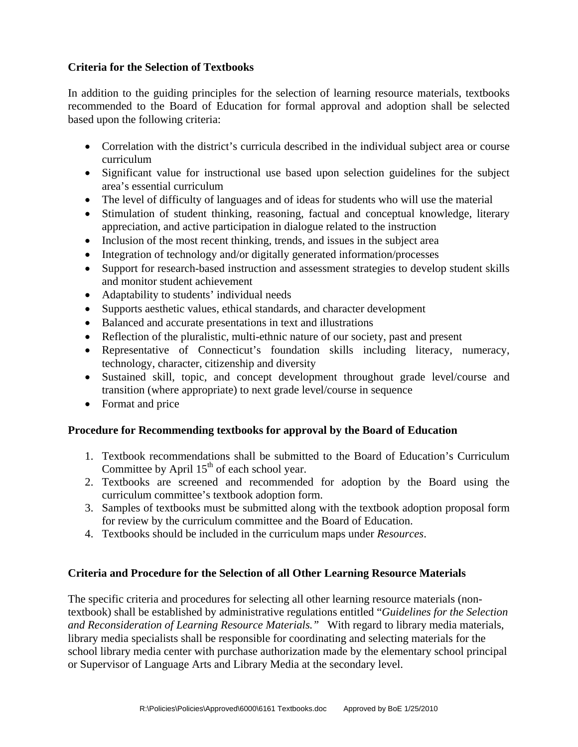# **Criteria for the Selection of Textbooks**

In addition to the guiding principles for the selection of learning resource materials, textbooks recommended to the Board of Education for formal approval and adoption shall be selected based upon the following criteria:

- Correlation with the district's curricula described in the individual subject area or course curriculum
- Significant value for instructional use based upon selection guidelines for the subject area's essential curriculum
- The level of difficulty of languages and of ideas for students who will use the material
- Stimulation of student thinking, reasoning, factual and conceptual knowledge, literary appreciation, and active participation in dialogue related to the instruction
- Inclusion of the most recent thinking, trends, and issues in the subject area
- Integration of technology and/or digitally generated information/processes
- Support for research-based instruction and assessment strategies to develop student skills and monitor student achievement
- Adaptability to students' individual needs
- Supports aesthetic values, ethical standards, and character development
- Balanced and accurate presentations in text and illustrations
- Reflection of the pluralistic, multi-ethnic nature of our society, past and present
- Representative of Connecticut's foundation skills including literacy, numeracy, technology, character, citizenship and diversity
- Sustained skill, topic, and concept development throughout grade level/course and transition (where appropriate) to next grade level/course in sequence
- Format and price

# **Procedure for Recommending textbooks for approval by the Board of Education**

- 1. Textbook recommendations shall be submitted to the Board of Education's Curriculum Committee by April  $15<sup>th</sup>$  of each school year.
- 2. Textbooks are screened and recommended for adoption by the Board using the curriculum committee's textbook adoption form.
- 3. Samples of textbooks must be submitted along with the textbook adoption proposal form for review by the curriculum committee and the Board of Education.
- 4. Textbooks should be included in the curriculum maps under *Resources*.

# **Criteria and Procedure for the Selection of all Other Learning Resource Materials**

The specific criteria and procedures for selecting all other learning resource materials (nontextbook) shall be established by administrative regulations entitled "*Guidelines for the Selection and Reconsideration of Learning Resource Materials."* With regard to library media materials, library media specialists shall be responsible for coordinating and selecting materials for the school library media center with purchase authorization made by the elementary school principal or Supervisor of Language Arts and Library Media at the secondary level.